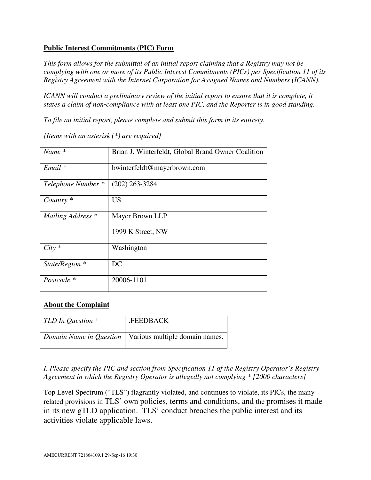## **Public Interest Commitments (PIC) Form**

*This form allows for the submittal of an initial report claiming that a Registry may not be complying with one or more of its Public Interest Commitments (PICs) per Specification 11 of its Registry Agreement with the Internet Corporation for Assigned Names and Numbers (ICANN).*

*ICANN will conduct a preliminary review of the initial report to ensure that it is complete, it states a claim of non*‐*compliance with at least one PIC, and the Reporter is in good standing.*

*To file an initial report, please complete and submit this form in its entirety.*

| $Name *$             | Brian J. Winterfeldt, Global Brand Owner Coalition |
|----------------------|----------------------------------------------------|
| Email *              | bwinterfeldt@mayerbrown.com                        |
| Telephone Number *   | $(202)$ 263-3284                                   |
| Country <sup>*</sup> | <b>US</b>                                          |
| Mailing Address *    | Mayer Brown LLP                                    |
|                      | 1999 K Street, NW                                  |
| $City *$             | Washington                                         |
| State/Region *       | DC                                                 |
| Postcode *           | 20006-1101                                         |

*[Items with an asterisk (\*) are required]*

## **About the Complaint**

| TLD In Question $*$ | .FEEDBACK                                                       |
|---------------------|-----------------------------------------------------------------|
|                     | <i>Domain Name in Question</i>   Various multiple domain names. |

*I. Please specify the PIC and section from Specification 11 of the Registry Operator's Registry Agreement in which the Registry Operator is allegedly not complying \* [2000 characters]*

Top Level Spectrum ("TLS") flagrantly violated, and continues to violate, its PICs, the many related provisions in TLS' own policies, terms and conditions, and the promises it made in its new gTLD application. TLS' conduct breaches the public interest and its activities violate applicable laws.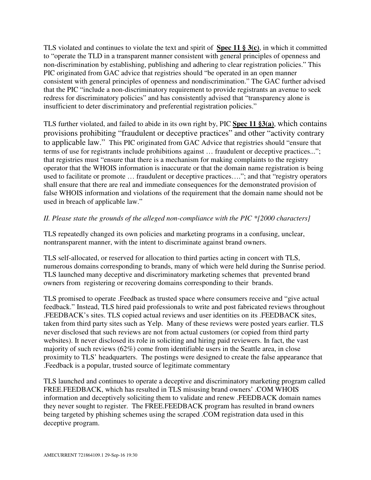TLS violated and continues to violate the text and spirit of **Spec 11 § 3(c)**, in which it committed to "operate the TLD in a transparent manner consistent with general principles of openness and non-discrimination by establishing, publishing and adhering to clear registration policies." This PIC originated from GAC advice that registries should "be operated in an open manner consistent with general principles of openness and nondiscrimination." The GAC further advised that the PIC "include a non-discriminatory requirement to provide registrants an avenue to seek redress for discriminatory policies" and has consistently advised that "transparency alone is insufficient to deter discriminatory and preferential registration policies."

TLS further violated, and failed to abide in its own right by, PIC **Spec 11 §3(a)**, which contains provisions prohibiting "fraudulent or deceptive practices" and other "activity contrary to applicable law." This PIC originated from GAC Advice that registries should "ensure that terms of use for registrants include prohibitions against ... fraudulent or deceptive practices..."; that registries must "ensure that there is a mechanism for making complaints to the registry operator that the WHOIS information is inaccurate or that the domain name registration is being used to facilitate or promote … fraudulent or deceptive practices…."; and that "registry operators shall ensure that there are real and immediate consequences for the demonstrated provision of false WHOIS information and violations of the requirement that the domain name should not be used in breach of applicable law."

## *II. Please state the grounds of the alleged non-compliance with the PIC \*[2000 characters]*

TLS repeatedly changed its own policies and marketing programs in a confusing, unclear, nontransparent manner, with the intent to discriminate against brand owners.

TLS self-allocated, or reserved for allocation to third parties acting in concert with TLS, numerous domains corresponding to brands, many of which were held during the Sunrise period. TLS launched many deceptive and discriminatory marketing schemes that prevented brand owners from registering or recovering domains corresponding to their brands.

TLS promised to operate .Feedback as trusted space where consumers receive and "give actual feedback." Instead, TLS hired paid professionals to write and post fabricated reviews throughout .FEEDBACK's sites. TLS copied actual reviews and user identities on its .FEEDBACK sites, taken from third party sites such as Yelp. Many of these reviews were posted years earlier. TLS never disclosed that such reviews are not from actual customers (or copied from third party websites). It never disclosed its role in soliciting and hiring paid reviewers. In fact, the vast majority of such reviews (62%) come from identifiable users in the Seattle area, in close proximity to TLS' headquarters. The postings were designed to create the false appearance that .Feedback is a popular, trusted source of legitimate commentary

TLS launched and continues to operate a deceptive and discriminatory marketing program called FREE.FEEDBACK, which has resulted in TLS misusing brand owners' .COM WHOIS information and deceptively soliciting them to validate and renew .FEEDBACK domain names they never sought to register. The FREE.FEEDBACK program has resulted in brand owners being targeted by phishing schemes using the scraped .COM registration data used in this deceptive program.